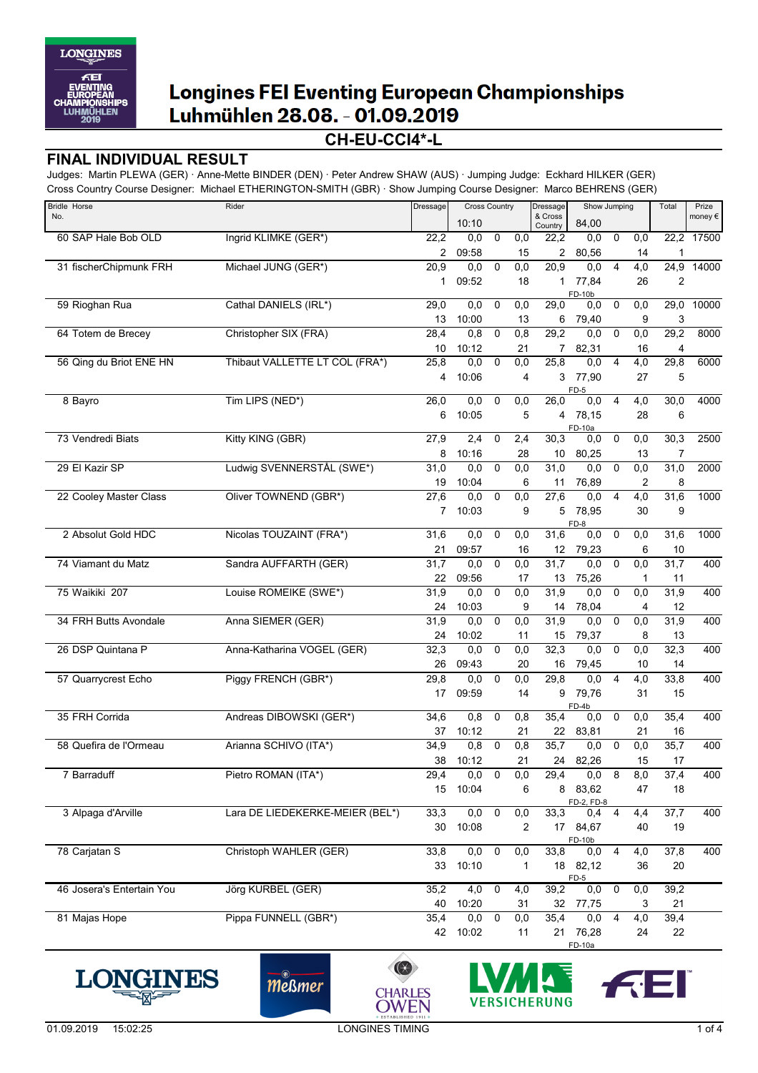

### **CH-EU-CCI4\*-L**

#### **FINAL INDIVIDUAL RESULT**

Judges: Martin PLEWA (GER) · Anne-Mette BINDER (DEN) · Peter Andrew SHAW (AUS) · Jumping Judge: Eckhard HILKER (GER) Cross Country Course Designer: Michael ETHERINGTON-SMITH (GBR) · Show Jumping Course Designer: Marco BEHRENS (GER)

| <b>Bridle Horse</b>       | Rider                           | Dressage       | <b>Cross Country</b> |             | Dressage  | Show Jumping       |                   |                | Total            | Prize          |        |
|---------------------------|---------------------------------|----------------|----------------------|-------------|-----------|--------------------|-------------------|----------------|------------------|----------------|--------|
| No.                       |                                 |                | 10:10                |             |           | & Cross<br>Country | 84,00             |                |                  |                | money€ |
| 60 SAP Hale Bob OLD       | Ingrid KLIMKE (GER*)            | 22,2           | 0,0                  | 0           | 0,0       | $\overline{22,2}$  | 0,0               | 0              | 0,0              | 22,2           | 17500  |
|                           |                                 | 2              | 09:58                |             | 15        | 2                  | 80,56             |                | 14               | $\mathbf 1$    |        |
| 31 fischerChipmunk FRH    | Michael JUNG (GER*)             | 20,9           | 0,0                  | 0           | 0,0       | $\overline{20,9}$  | 0,0               | $\overline{4}$ | $\overline{4,0}$ | 24,9           | 14000  |
|                           |                                 | $\mathbf{1}$   | 09:52                |             | 18        | 1                  | 77,84             |                | 26               | $\overline{2}$ |        |
| 59 Rioghan Rua            | Cathal DANIELS (IRL*)           | 29,0           | 0,0                  | 0           | 0,0       | $\overline{29,0}$  | FD-10b<br>0,0     | 0              | 0,0              | 29,0           | 10000  |
|                           |                                 | 13             | 10:00                |             | 13        | 6                  | 79,40             |                | 9                | 3              |        |
| 64 Totem de Brecey        | Christopher SIX (FRA)           | 28,4           | 0,8                  | $\pmb{0}$   | 0,8       | 29,2               | 0,0               | $\mathbf 0$    | 0,0              | 29,2           | 8000   |
|                           |                                 | 10             | 10:12                |             | 21        | 7                  | 82,31             |                | 16               | 4              |        |
| 56 Qing du Briot ENE HN   | Thibaut VALLETTE LT COL (FRA*)  | 25,8           | 0,0                  | 0           | 0,0       | 25,8               | 0,0               | $\overline{4}$ | 4,0              | 29,8           | 6000   |
|                           |                                 | 4              | 10:06                |             | 4         | 3                  | 77,90             |                | 27               | 5              |        |
|                           |                                 |                |                      |             |           |                    | FD-5              |                |                  |                |        |
| 8 Bayro                   | Tim LIPS (NED*)                 | 26,0           | 0,0                  | 0           | 0,0       | 26,0               | 0,0               | $\overline{4}$ | 4,0              | 30,0           | 4000   |
|                           |                                 | 6              | 10:05                |             | 5         |                    | 4 78,15           |                | 28               | 6              |        |
| 73 Vendredi Biats         | Kitty KING (GBR)                | 27,9           | 2,4                  | 0           | 2,4       | 30,3               | FD-10a<br>0,0     | $\mathbf 0$    | 0,0              | 30,3           | 2500   |
|                           |                                 | 8              | 10:16                |             | 28        | 10                 | 80,25             |                | 13               | 7              |        |
| 29 El Kazir SP            | Ludwig SVENNERSTÅL (SWE*)       | 31,0           | 0,0                  | 0           | 0,0       | 31,0               | 0,0               | 0              | 0,0              | 31,0           | 2000   |
|                           |                                 | 19             | 10:04                |             | 6         | 11                 | 76,89             |                | 2                | 8              |        |
| 22 Cooley Master Class    | Oliver TOWNEND (GBR*)           | 27,6           | 0,0                  | 0           | 0,0       | 27,6               | 0,0               | 4              | 4,0              | 31,6           | 1000   |
|                           |                                 | $\overline{7}$ | 10:03                |             | 9         | 5                  | 78,95             |                | 30               | 9              |        |
|                           |                                 |                |                      |             |           |                    | FD-8              |                |                  |                |        |
| 2 Absolut Gold HDC        | Nicolas TOUZAINT (FRA*)         | 31,6           | 0,0                  | 0           | 0,0       | 31,6               | 0,0               | 0              | 0,0              | 31,6           | 1000   |
|                           |                                 | 21             | 09:57                |             | 16        | 12                 | 79,23             |                | 6                | 10             |        |
| 74 Viamant du Matz        | Sandra AUFFARTH (GER)           | 31,7<br>22     | 0,0<br>09:56         | 0           | 0,0<br>17 | 31,7<br>13         | 0,0<br>75,26      | $\pmb{0}$      | 0,0<br>1         | 31,7<br>11     | 400    |
| 75 Waikiki 207            | Louise ROMEIKE (SWE*)           | 31,9           | 0,0                  | $\mathbf 0$ | 0,0       | 31,9               | 0,0               | $\pmb{0}$      | 0,0              | 31,9           | 400    |
|                           |                                 | 24             | 10:03                |             | 9         | 14                 | 78,04             |                | 4                | 12             |        |
| 34 FRH Butts Avondale     | Anna SIEMER (GER)               | 31,9           | 0,0                  | 0           | 0,0       | 31,9               | 0,0               | 0              | 0,0              | 31,9           | 400    |
|                           |                                 | 24             | 10:02                |             | 11        | 15                 | 79,37             |                | 8                | 13             |        |
| 26 DSP Quintana P         | Anna-Katharina VOGEL (GER)      | 32,3           | 0,0                  | 0           | 0,0       | 32,3               | 0,0               | $\mathbf 0$    | 0,0              | 32,3           | 400    |
|                           |                                 | 26             | 09:43                |             | 20        | 16                 | 79,45             |                | 10               | 14             |        |
| 57 Quarrycrest Echo       | Piggy FRENCH (GBR*)             | 29,8           | 0,0                  | $\mathbf 0$ | 0,0       | 29,8               | 0,0               | $\overline{4}$ | $\overline{4,0}$ | 33,8           | 400    |
|                           |                                 | 17             | 09:59                |             | 14        | 9                  | 79,76             |                | 31               | 15             |        |
|                           |                                 |                |                      |             |           |                    | FD-4b             |                |                  |                |        |
| 35 FRH Corrida            | Andreas DIBOWSKI (GER*)         | 34,6           | 0,8                  | 0           | 0,8       | 35,4               | 0,0               | $\mathbf 0$    | 0,0              | 35,4           | 400    |
| 58 Quefira de l'Ormeau    | Arianna SCHIVO (ITA*)           | 37             | 10:12                | $\pmb{0}$   | 21        | 22<br>35,7         | 83,81<br>0,0      | $\mathbf 0$    | 21               | 16             | 400    |
|                           |                                 | 34,9<br>38     | 0,8<br>10:12         |             | 0,8<br>21 |                    | 24 82,26          |                | 0,0<br>15        | 35,7<br>17     |        |
| 7 Barraduff               | Pietro ROMAN (ITA*)             | 29,4           | 0,0                  | 0           | 0,0       | 29,4               | 0,0               | 8              | 8,0              | 37,4           | 400    |
|                           |                                 | 15             | 10:04                |             | 6         |                    | 8 83,62           |                | 47               | 18             |        |
|                           |                                 |                |                      |             |           |                    | FD-2, FD-8        |                |                  |                |        |
| 3 Alpaga d'Arville        | Lara DE LIEDEKERKE-MEIER (BEL*) | 33,3           | 0,0                  | 0           | 0,0       | 33,3               | 0,4               | 4              | 4,4              | 37,7           | 400    |
|                           |                                 | 30             | 10:08                |             | 2         |                    | 17 84,67          |                | 40               | 19             |        |
| 78 Carjatan S             | Christoph WAHLER (GER)          | 33,8           | $\overline{0,0}$     | 0           | 0,0       | 33,8               | FD-10b<br>$0,0$ 4 |                | 4,0              | 37,8           | 400    |
|                           |                                 | 33             | 10:10                |             | 1         |                    | 18 82,12          |                | 36               | 20             |        |
|                           |                                 |                |                      |             |           |                    | $FD-5$            |                |                  |                |        |
| 46 Josera's Entertain You | Jörg KURBEL (GER)               | 35,2           | 4,0                  | 0           | 4,0       | 39,2               | 0,0 0             |                | 0,0              | 39,2           |        |
|                           |                                 | 40             | 10:20                |             | 31        | 32                 | 77,75             |                | 3                | 21             |        |
| 81 Majas Hope             | Pippa FUNNELL (GBR*)            | 35,4           | 0,0                  | $\mathbf 0$ | 0,0       | 35,4               | 0,0               | 4              | 4,0              | 39,4           |        |
|                           |                                 |                | 42 10:02             |             | 11        |                    | 21 76,28          |                | 24               | 22             |        |
|                           |                                 |                |                      |             |           |                    | FD-10a            |                |                  |                |        |









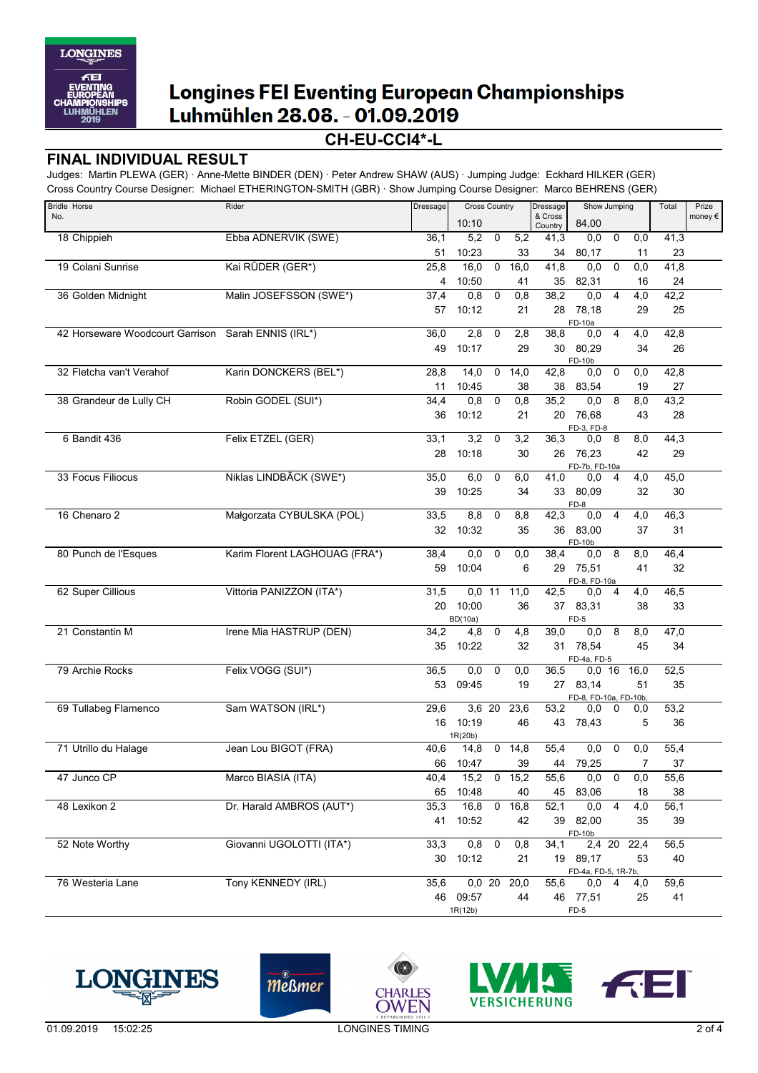

### **CH-EU-CCI4\*-L**

#### **FINAL INDIVIDUAL RESULT**

Judges: Martin PLEWA (GER) · Anne-Mette BINDER (DEN) · Peter Andrew SHAW (AUS) · Jumping Judge: Eckhard HILKER (GER) Cross Country Course Designer: Michael ETHERINGTON-SMITH (GBR) · Show Jumping Course Designer: Marco BEHRENS (GER)

| <b>Bridle Horse</b>                                | Rider                         | <b>Dressage</b> | <b>Cross Country</b> |                |               | Show Jumping<br>Dressage |                                |                | Total          | Prize |                  |
|----------------------------------------------------|-------------------------------|-----------------|----------------------|----------------|---------------|--------------------------|--------------------------------|----------------|----------------|-------|------------------|
| No.                                                |                               |                 | 10:10                |                |               | & Cross<br>Country       | 84,00                          |                |                |       | money $\epsilon$ |
| 18 Chippieh                                        | Ebba ADNERVIK (SWE)           | 36,1            | 5,2                  | $\mathbf 0$    | 5,2           | 41,3                     | 0,0                            | $\mathbf 0$    | 0,0            | 41,3  |                  |
|                                                    |                               | 51              | 10:23                |                | 33            | 34                       | 80,17                          |                | 11             | 23    |                  |
| 19 Colani Sunrise                                  | Kai RÜDER (GER*)              | 25,8            | 16,0                 | $\mathbf 0$    | 16,0          | 41,8                     | 0,0                            | 0              | 0,0            | 41,8  |                  |
|                                                    |                               | 4               | 10:50                |                | 41            | 35                       | 82,31                          |                | 16             | 24    |                  |
| 36 Golden Midnight                                 | Malin JOSEFSSON (SWE*)        | 37,4            | 0,8                  | $\overline{0}$ | 0,8           | 38,2                     | 0,0                            | $\overline{4}$ | 4,0            | 42,2  |                  |
|                                                    |                               | 57              | 10:12                |                | 21            | 28                       | 78,18                          |                | 29             | 25    |                  |
|                                                    |                               |                 |                      |                |               |                          | FD-10a                         |                |                |       |                  |
| 42 Horseware Woodcourt Garrison Sarah ENNIS (IRL*) |                               | 36,0            | 2,8                  | $\mathbf 0$    | 2,8           | 38,8                     | 0,0                            | $\overline{4}$ | 4,0            | 42,8  |                  |
|                                                    |                               | 49              | 10:17                |                | 29            |                          | 30 80,29                       |                | 34             | 26    |                  |
| 32 Fletcha van't Verahof                           | Karin DONCKERS (BEL*)         | 28,8            | 14,0                 | $\mathbf 0$    | 14,0          | 42,8                     | FD-10b<br>0,0                  | $\mathbf 0$    | 0,0            | 42,8  |                  |
|                                                    |                               | 11              | 10:45                |                | 38            | 38                       | 83,54                          |                | 19             | 27    |                  |
| 38 Grandeur de Lully CH                            | Robin GODEL (SUI*)            | 34,4            | 0,8                  | 0              | 0,8           | 35,2                     | 0,0                            | 8              | 8,0            | 43,2  |                  |
|                                                    |                               | 36              | 10:12                |                | 21            |                          | 20 76,68                       |                | 43             | 28    |                  |
|                                                    |                               |                 |                      |                |               |                          | FD-3, FD-8                     |                |                |       |                  |
| 6 Bandit 436                                       | Felix ETZEL (GER)             | 33,1            | 3,2                  | 0              | 3,2           | 36,3                     | 0,0                            | 8              | 8,0            | 44,3  |                  |
|                                                    |                               | 28              | 10:18                |                | 30            |                          | 26 76,23                       |                | 42             | 29    |                  |
|                                                    |                               |                 |                      |                |               |                          | FD-7b, FD-10a                  |                |                |       |                  |
| 33 Focus Filiocus                                  | Niklas LINDBÄCK (SWE*)        | 35,0            | 6,0                  | 0              | 6,0           | 41,0                     | 0,0                            | 4              | 4,0            | 45,0  |                  |
|                                                    |                               | 39              | 10:25                |                | 34            |                          | 33 80,09                       |                | 32             | 30    |                  |
| 16 Chenaro 2                                       |                               |                 |                      |                |               |                          | FD-8                           |                |                |       |                  |
|                                                    | Małgorzata CYBULSKA (POL)     | 33,5            | 8,8                  | 0              | 8,8           | 42,3                     | 0,0                            | 4              | 4,0            | 46,3  |                  |
|                                                    |                               | 32              | 10:32                |                | 35            |                          | 36 83,00<br>FD-10b             |                | 37             | 31    |                  |
| 80 Punch de l'Esques                               | Karim Florent LAGHOUAG (FRA*) | 38,4            | 0,0                  | 0              | 0,0           | 38,4                     | 0,0                            | 8              | 8,0            | 46,4  |                  |
|                                                    |                               | 59              | 10:04                |                | 6             |                          | 29 75,51                       |                | 41             | 32    |                  |
|                                                    |                               |                 |                      |                |               |                          | FD-8, FD-10a                   |                |                |       |                  |
| 62 Super Cillious                                  | Vittoria PANIZZON (ITA*)      | 31,5            | $0,0$ 11             |                | 11,0          | 42,5                     | 0,0                            | $\overline{4}$ | 4,0            | 46,5  |                  |
|                                                    |                               | 20              | 10:00                |                | 36            |                          | 37 83,31                       |                | 38             | 33    |                  |
|                                                    |                               |                 | <b>BD(10a)</b>       |                |               |                          | FD-5                           |                |                |       |                  |
| 21 Constantin M                                    | Irene Mia HASTRUP (DEN)       | 34,2            | 4,8                  | $\mathbf 0$    | 4,8           | 39,0                     | 0,0                            | 8              | 8,0            | 47,0  |                  |
|                                                    |                               | 35              | 10:22                |                | 32            |                          | 31 78,54<br>FD-4a, FD-5        |                | 45             | 34    |                  |
| 79 Archie Rocks                                    | Felix VOGG (SUI*)             | 36,5            | 0,0                  | $\mathbf 0$    | 0,0           | 36,5                     | $0,0$ 16                       |                | 16,0           | 52,5  |                  |
|                                                    |                               | 53              | 09:45                |                | 19            |                          | 27 83,14                       |                | 51             | 35    |                  |
|                                                    |                               |                 |                      |                |               |                          | FD-8, FD-10a, FD-10b,          |                |                |       |                  |
| 69 Tullabeg Flamenco                               | Sam WATSON (IRL*)             | 29,6            | 3,6 20               |                | 23,6          | 53,2                     | 0,0                            | 0              | 0,0            | 53,2  |                  |
|                                                    |                               | 16              | 10:19                |                | 46            | 43                       | 78,43                          |                | 5              | 36    |                  |
|                                                    |                               |                 | 1R(20b)              |                |               |                          |                                |                |                |       |                  |
| 71 Utrillo du Halage                               | Jean Lou BIGOT (FRA)          | 40,6            | 14,8                 | $\mathbf 0$    | 14,8          | 55,4                     | 0,0                            | 0              | 0,0            | 55,4  |                  |
|                                                    |                               | 66              | 10:47                |                | 39            |                          | 44 79,25                       |                | $\overline{7}$ | 37    |                  |
| 47 Junco CP                                        | Marco BIASIA (ITA)            | 40,4            | 15,2                 |                | $0$ 15,2      | 55,6                     | 0,0                            | $\mathbf 0$    | 0,0            | 55,6  |                  |
|                                                    |                               | 65              | 10:48                |                | 40            |                          | 45 83,06                       |                | 18             | 38    |                  |
| 48 Lexikon 2                                       | Dr. Harald AMBROS (AUT*)      | 35,3            | 16,8                 | $\mathbf 0$    | 16,8          | 52,1                     | 0,0                            | $\overline{4}$ | 4,0            | 56,1  |                  |
|                                                    |                               | 41              | 10:52                |                | 42            |                          | 39 82,00                       |                | 35             | 39    |                  |
|                                                    |                               |                 |                      |                |               |                          | FD-10b                         |                |                |       |                  |
| 52 Note Worthy                                     | Giovanni UGOLOTTI (ITA*)      | 33,3            | 0,8                  | $\mathbf 0$    | 0,8           | 34,1                     | $2,4$ 20                       |                | 22,4           | 56,5  |                  |
|                                                    |                               |                 | 30 10:12             |                | 21            |                          | 19 89,17                       |                | 53             | 40    |                  |
| 76 Westeria Lane                                   | Tony KENNEDY (IRL)            | 35,6            |                      |                | $0,0$ 20 20,0 | 55,6                     | FD-4a, FD-5, 1R-7b,<br>$0,0$ 4 |                | 4,0            | 59,6  |                  |
|                                                    |                               |                 | 46 09:57             |                | 44            |                          | 46 77,51                       |                | 25             | 41    |                  |
|                                                    |                               |                 | 1R(12b)              |                |               |                          | FD-5                           |                |                |       |                  |
|                                                    |                               |                 |                      |                |               |                          |                                |                |                |       |                  |









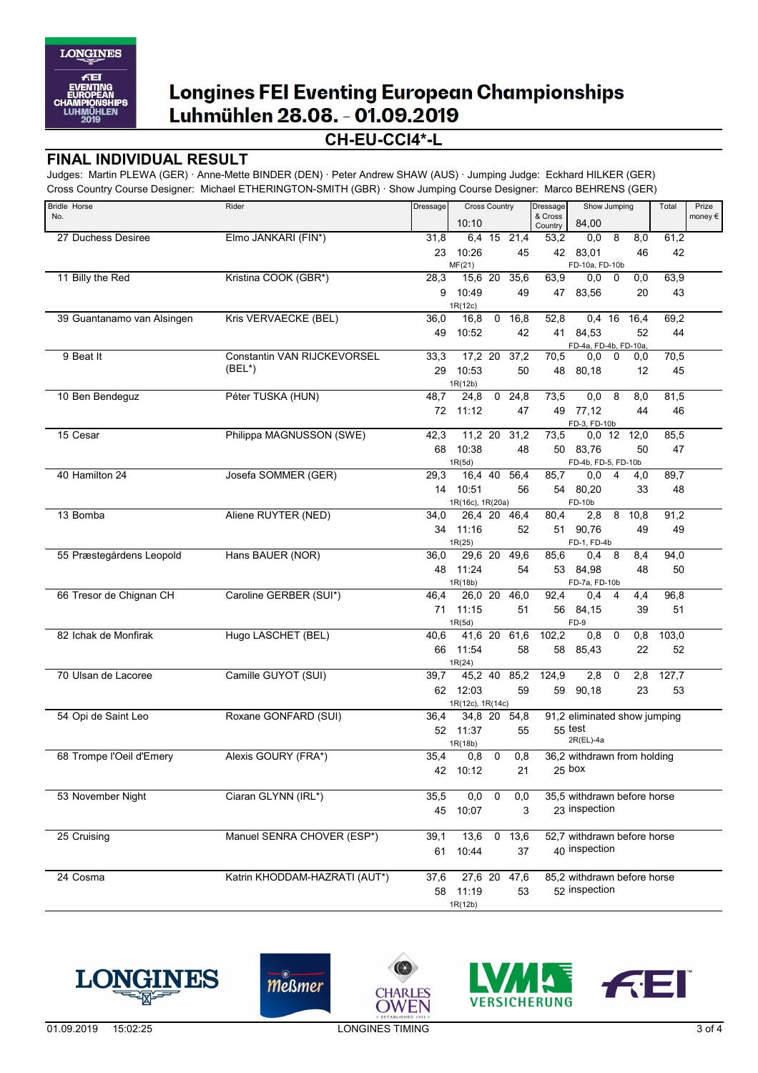

## **CH-EU-CCI4\*-L**

#### **FINAL INDIVIDUAL RESULT**

Judges: Martin PLEWA (GER) · Anne-Mette BINDER (DEN) · Peter Andrew SHAW (AUS) · Jumping Judge: Eckhard HILKER (GER) Cross Country Course Designer: Michael ETHERINGTON-SMITH (GBR) · Show Jumping Course Designer: Marco BEHRENS (GER)

| <b>Bridle Horse</b>        | Rider                         | Dressage | <b>Cross Country</b> |                | Show Jumping<br>Dressage |                    |                              | Total          | Prize         |       |         |
|----------------------------|-------------------------------|----------|----------------------|----------------|--------------------------|--------------------|------------------------------|----------------|---------------|-------|---------|
| No.                        |                               |          | 10:10                |                |                          | & Cross<br>Country | 84,00                        |                |               |       | money € |
| 27 Duchess Desiree         | Elmo JANKARI (FIN*)           | 31,8     |                      |                | 6,4 15 21,4              | 53,2               | 0,0                          | 8              | 8,0           | 61,2  |         |
|                            |                               | 23       | 10:26                |                | 45                       | 42                 | 83,01                        |                | 46            | 42    |         |
|                            |                               |          | MF(21)               |                |                          |                    | FD-10a, FD-10b               |                |               |       |         |
| 11 Billy the Red           | Kristina COOK (GBR*)          | 28,3     |                      |                | 15,6 20 35,6             | 63,9               | 0,0                          | 0              | 0,0           | 63,9  |         |
|                            |                               | 9        | 10:49                |                | 49                       | 47                 | 83,56                        |                | 20            | 43    |         |
|                            |                               |          | 1R(12c)              |                |                          |                    |                              |                |               |       |         |
| 39 Guantanamo van Alsingen | Kris VERVAECKE (BEL)          | 36,0     | 16,8                 | $\mathbf 0$    | 16,8                     | 52,8               | $0,4$ 16                     |                | 16,4          | 69,2  |         |
|                            |                               | 49       | 10:52                |                | 42                       |                    | 41 84,53                     |                | 52            | 44    |         |
|                            |                               |          |                      |                |                          |                    | FD-4a, FD-4b, FD-10a,        |                |               |       |         |
| 9 Beat It                  | Constantin VAN RIJCKEVORSEL   | 33,3     | 17,2 20              |                | 37,2                     | 70,5               | 0,0                          | 0              | 0,0           | 70,5  |         |
|                            | $(BEL^*)$                     | 29       | 10:53                |                | 50                       | 48                 | 80,18                        |                | 12            | 45    |         |
|                            |                               |          | 1R(12b)<br>24,8      |                | $\overline{24,8}$        |                    |                              |                |               |       |         |
| 10 Ben Bendeguz            | Péter TUSKA (HUN)             | 48,7     |                      | $\overline{0}$ |                          | 73,5               | 0,0                          | 8              | 8,0           | 81,5  |         |
|                            |                               | 72       | 11:12                |                | 47                       | 49                 | 77,12                        |                | 44            | 46    |         |
| 15 Cesar                   | Philippa MAGNUSSON (SWE)      | 42,3     |                      |                | 11,2 20 31,2             | 73,5               | FD-3, FD-10b                 |                | $0,0$ 12 12,0 | 85,5  |         |
|                            |                               | 68       | 10:38                |                | 48                       | 50                 | 83.76                        |                | 50            | 47    |         |
|                            |                               |          | 1R(5d)               |                |                          |                    | FD-4b, FD-5, FD-10b          |                |               |       |         |
| 40 Hamilton 24             | Josefa SOMMER (GER)           | 29,3     | 16,4 40              |                | 56,4                     | 85,7               | 0,0                          | 4              | 4,0           | 89,7  |         |
|                            |                               | 14       | 10:51                |                | 56                       |                    | 54 80,20                     |                | 33            | 48    |         |
|                            |                               |          | 1R(16c), 1R(20a)     |                |                          |                    | FD-10b                       |                |               |       |         |
| 13 Bomba                   | Aliene RUYTER (NED)           | 34,0     | 26,4 20              |                | 46,4                     | 80,4               | 2,8                          | 8              | 10,8          | 91,2  |         |
|                            |                               |          | 34 11:16             |                | 52                       |                    | 51 90,76                     |                | 49            | 49    |         |
|                            |                               |          | 1R(25)               |                |                          |                    | FD-1, FD-4b                  |                |               |       |         |
| 55 Præstegårdens Leopold   | Hans BAUER (NOR)              | 36,0     | 29,6 20              |                | 49,6                     | 85,6               | 0,4                          | 8              | 8,4           | 94,0  |         |
|                            |                               |          | 48 11:24             |                | 54                       |                    | 53 84,98                     |                | 48            | 50    |         |
|                            |                               |          | 1R(18b)              |                |                          |                    | FD-7a, FD-10b                |                |               |       |         |
| 66 Tresor de Chignan CH    | Caroline GERBER (SUI*)        | 46,4     | 26,0 20              |                | 46,0                     | 92,4               | 0,4                          | $\overline{4}$ | 4,4           | 96,8  |         |
|                            |                               | 71       | 11:15                |                | 51                       | 56                 | 84,15                        |                | 39            | 51    |         |
|                            |                               |          | 1R(5d)               |                |                          |                    | FD-9                         |                |               |       |         |
| 82 Ichak de Monfirak       | Hugo LASCHET (BEL)            | 40,6     | 41,6 20              |                | 61,6                     | 102,2              | 0,8                          | 0              | 0,8           | 103,0 |         |
|                            |                               |          | 66 11:54             |                | 58                       | 58                 | 85,43                        |                | 22            | 52    |         |
|                            |                               |          | 1R(24)               |                |                          |                    |                              |                |               |       |         |
| 70 Ulsan de Lacoree        | Camille GUYOT (SUI)           | 39,7     |                      |                | 45,2 40 85,2             | 124,9              | 2,8                          | 0              | 2,8           | 127,7 |         |
|                            |                               | 62       | 12:03                |                | 59                       | 59                 | 90,18                        |                | 23            | 53    |         |
|                            |                               |          | 1R(12c), 1R(14c)     |                |                          |                    |                              |                |               |       |         |
| 54 Opi de Saint Leo        | Roxane GONFARD (SUI)          | 36,4     | 34,8 20              |                | 54,8                     |                    | 91,2 eliminated show jumping |                |               |       |         |
|                            |                               |          | 52 11:37             |                | 55                       |                    | $55$ test                    |                |               |       |         |
|                            |                               |          | 1R(18b)              |                |                          |                    | 2R(EL)-4a                    |                |               |       |         |
| 68 Trompe l'Oeil d'Emery   | Alexis GOURY (FRA*)           | 35,4     | 0,8                  | 0              | 0,8                      |                    | 36,2 withdrawn from holding  |                |               |       |         |
|                            |                               |          | 42 10:12             |                | 21                       |                    | $25$ box                     |                |               |       |         |
|                            |                               |          |                      |                |                          |                    |                              |                |               |       |         |
| 53 November Night          | Ciaran GLYNN (IRL*)           | 35,5     | 0,0                  | $\overline{0}$ | 0,0                      |                    | 35,5 withdrawn before horse  |                |               |       |         |
|                            |                               |          | 45 10:07             |                | 3                        |                    | 23 inspection                |                |               |       |         |
|                            |                               |          |                      |                |                          |                    |                              |                |               |       |         |
| 25 Cruising                | Manuel SENRA CHOVER (ESP*)    | 39,1     | 13,6                 |                | 0, 13, 6                 |                    | 52,7 withdrawn before horse  |                |               |       |         |
|                            |                               | 61       | 10:44                |                | 37                       |                    | 40 inspection                |                |               |       |         |
| 24 Cosma                   | Katrin KHODDAM-HAZRATI (AUT*) | 37,6     | 27,6 20              |                | 47,6                     |                    | 85,2 withdrawn before horse  |                |               |       |         |
|                            |                               |          |                      |                |                          |                    | 52 inspection                |                |               |       |         |
|                            |                               |          | 58 11:19             |                | 53                       |                    |                              |                |               |       |         |
|                            |                               |          | 1R(12b)              |                |                          |                    |                              |                |               |       |         |